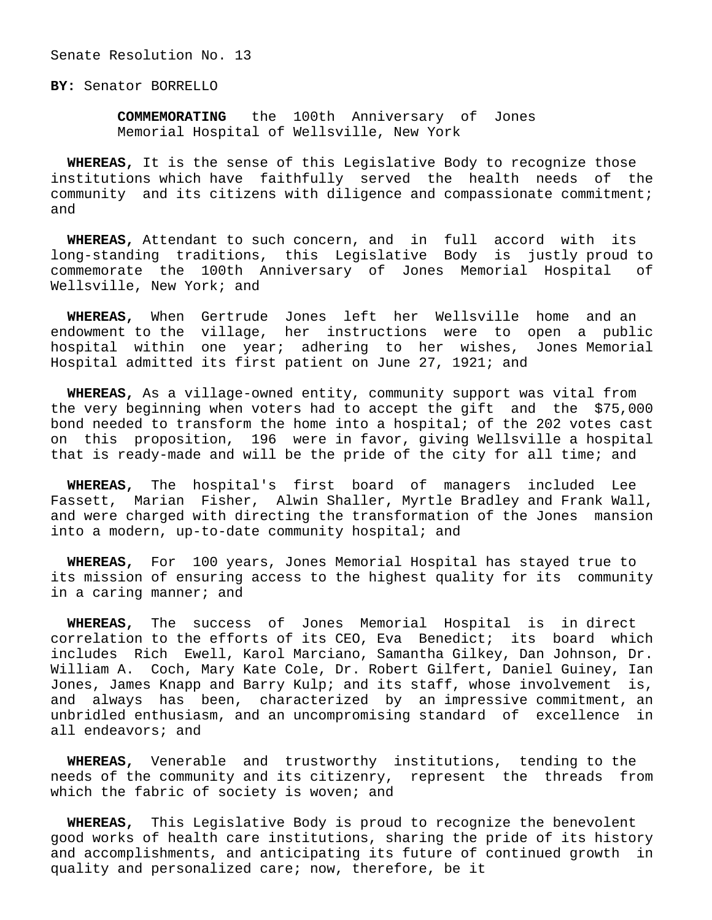Senate Resolution No. 13

**BY:** Senator BORRELLO

 **COMMEMORATING** the 100th Anniversary of Jones Memorial Hospital of Wellsville, New York

 **WHEREAS,** It is the sense of this Legislative Body to recognize those institutions which have faithfully served the health needs of the community and its citizens with diligence and compassionate commitment; and

 **WHEREAS,** Attendant to such concern, and in full accord with its long-standing traditions, this Legislative Body is justly proud to commemorate the 100th Anniversary of Jones Memorial Hospital of Wellsville, New York; and

 **WHEREAS,** When Gertrude Jones left her Wellsville home and an endowment to the village, her instructions were to open a public hospital within one year; adhering to her wishes, Jones Memorial Hospital admitted its first patient on June 27, 1921; and

 **WHEREAS,** As a village-owned entity, community support was vital from the very beginning when voters had to accept the gift and the \$75,000 bond needed to transform the home into a hospital; of the 202 votes cast on this proposition, 196 were in favor, giving Wellsville a hospital that is ready-made and will be the pride of the city for all time; and

 **WHEREAS,** The hospital's first board of managers included Lee Fassett, Marian Fisher, Alwin Shaller, Myrtle Bradley and Frank Wall, and were charged with directing the transformation of the Jones mansion into a modern, up-to-date community hospital; and

 **WHEREAS,** For 100 years, Jones Memorial Hospital has stayed true to its mission of ensuring access to the highest quality for its community in a caring manner; and

 **WHEREAS,** The success of Jones Memorial Hospital is in direct correlation to the efforts of its CEO, Eva Benedict; its board which includes Rich Ewell, Karol Marciano, Samantha Gilkey, Dan Johnson, Dr. William A. Coch, Mary Kate Cole, Dr. Robert Gilfert, Daniel Guiney, Ian Jones, James Knapp and Barry Kulp; and its staff, whose involvement is, and always has been, characterized by an impressive commitment, an unbridled enthusiasm, and an uncompromising standard of excellence in all endeavors; and

 **WHEREAS,** Venerable and trustworthy institutions, tending to the needs of the community and its citizenry, represent the threads from which the fabric of society is woven; and

 **WHEREAS,** This Legislative Body is proud to recognize the benevolent good works of health care institutions, sharing the pride of its history and accomplishments, and anticipating its future of continued growth in quality and personalized care; now, therefore, be it